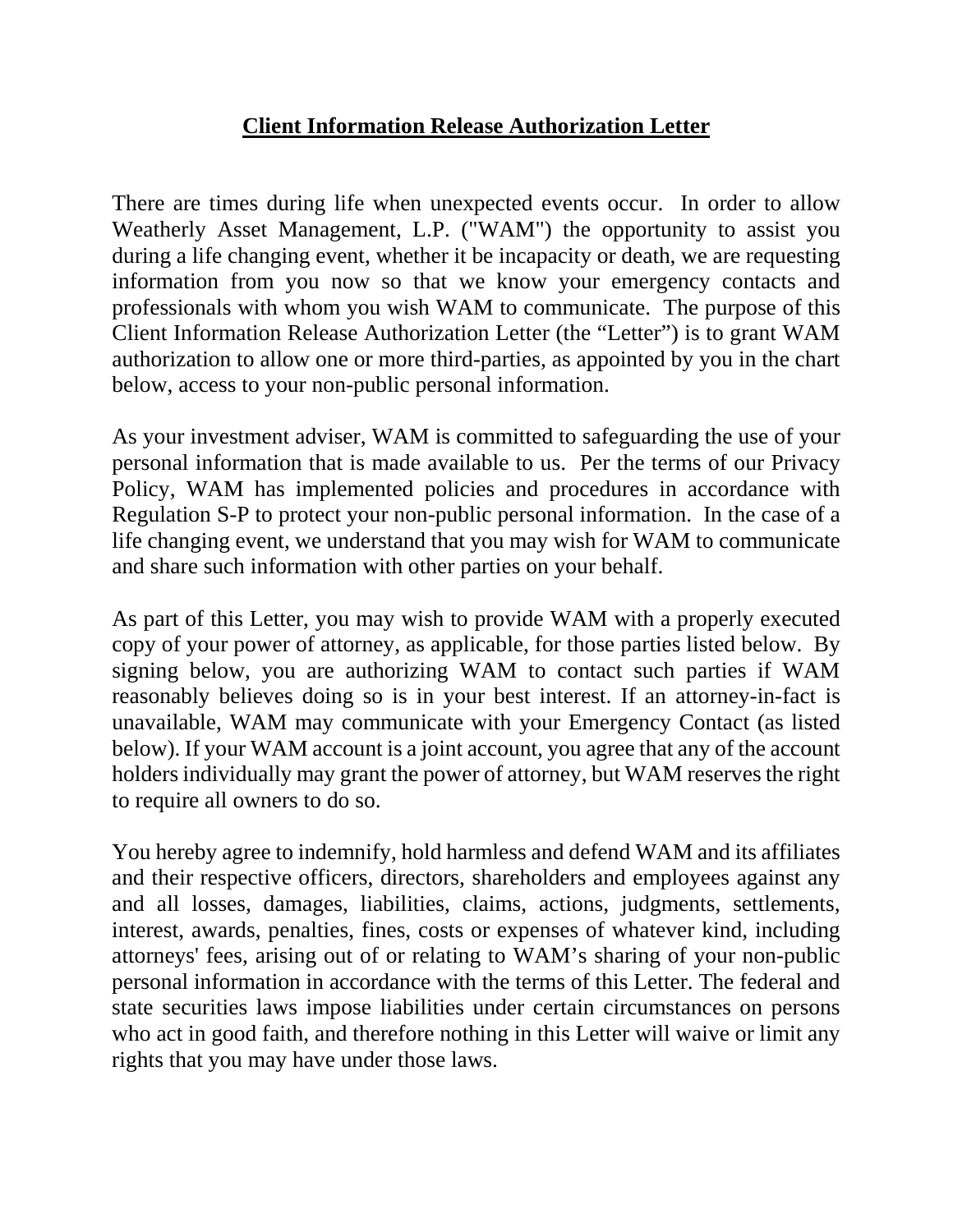## **Client Information Release Authorization Letter**

There are times during life when unexpected events occur. In order to allow Weatherly Asset Management, L.P. ("WAM") the opportunity to assist you during a life changing event, whether it be incapacity or death, we are requesting information from you now so that we know your emergency contacts and professionals with whom you wish WAM to communicate. The purpose of this Client Information Release Authorization Letter (the "Letter") is to grant WAM authorization to allow one or more third-parties, as appointed by you in the chart below, access to your non-public personal information.

As your investment adviser, WAM is committed to safeguarding the use of your personal information that is made available to us. Per the terms of our Privacy Policy, WAM has implemented policies and procedures in accordance with Regulation S-P to protect your non-public personal information. In the case of a life changing event, we understand that you may wish for WAM to communicate and share such information with other parties on your behalf.

As part of this Letter, you may wish to provide WAM with a properly executed copy of your power of attorney, as applicable, for those parties listed below. By signing below, you are authorizing WAM to contact such parties if WAM reasonably believes doing so is in your best interest. If an attorney-in-fact is unavailable, WAM may communicate with your Emergency Contact (as listed below). If your WAM account is a joint account, you agree that any of the account holders individually may grant the power of attorney, but WAM reserves the right to require all owners to do so.

You hereby agree to indemnify, hold harmless and defend WAM and its affiliates and their respective officers, directors, shareholders and employees against any and all losses, damages, liabilities, claims, actions, judgments, settlements, interest, awards, penalties, fines, costs or expenses of whatever kind, including attorneys' fees, arising out of or relating to WAM's sharing of your non-public personal information in accordance with the terms of this Letter. The federal and state securities laws impose liabilities under certain circumstances on persons who act in good faith, and therefore nothing in this Letter will waive or limit any rights that you may have under those laws.